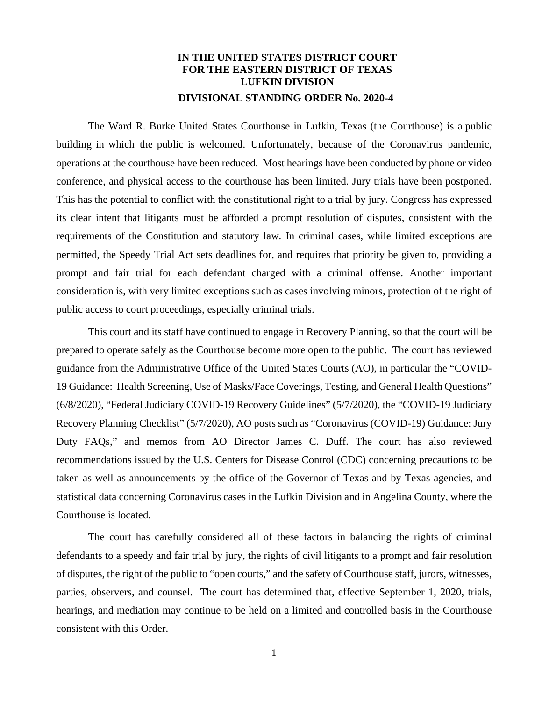## **IN THE UNITED STATES DISTRICT COURT FOR THE EASTERN DISTRICT OF TEXAS LUFKIN DIVISION DIVISIONAL STANDING ORDER No. 2020-4**

The Ward R. Burke United States Courthouse in Lufkin, Texas (the Courthouse) is a public building in which the public is welcomed. Unfortunately, because of the Coronavirus pandemic, operations at the courthouse have been reduced. Most hearings have been conducted by phone or video conference, and physical access to the courthouse has been limited. Jury trials have been postponed. This has the potential to conflict with the constitutional right to a trial by jury. Congress has expressed its clear intent that litigants must be afforded a prompt resolution of disputes, consistent with the requirements of the Constitution and statutory law. In criminal cases, while limited exceptions are permitted, the Speedy Trial Act sets deadlines for, and requires that priority be given to, providing a prompt and fair trial for each defendant charged with a criminal offense. Another important consideration is, with very limited exceptions such as cases involving minors, protection of the right of public access to court proceedings, especially criminal trials.

This court and its staff have continued to engage in Recovery Planning, so that the court will be prepared to operate safely as the Courthouse become more open to the public. The court has reviewed guidance from the Administrative Office of the United States Courts (AO), in particular the "COVID-19 Guidance: Health Screening, Use of Masks/Face Coverings, Testing, and General Health Questions" (6/8/2020), "Federal Judiciary COVID-19 Recovery Guidelines" (5/7/2020), the "COVID-19 Judiciary Recovery Planning Checklist" (5/7/2020), AO posts such as "Coronavirus (COVID-19) Guidance: Jury Duty FAQs," and memos from AO Director James C. Duff. The court has also reviewed recommendations issued by the U.S. Centers for Disease Control (CDC) concerning precautions to be taken as well as announcements by the office of the Governor of Texas and by Texas agencies, and statistical data concerning Coronavirus cases in the Lufkin Division and in Angelina County, where the Courthouse is located.

The court has carefully considered all of these factors in balancing the rights of criminal defendants to a speedy and fair trial by jury, the rights of civil litigants to a prompt and fair resolution of disputes, the right of the public to "open courts," and the safety of Courthouse staff, jurors, witnesses, parties, observers, and counsel. The court has determined that, effective September 1, 2020, trials, hearings, and mediation may continue to be held on a limited and controlled basis in the Courthouse consistent with this Order.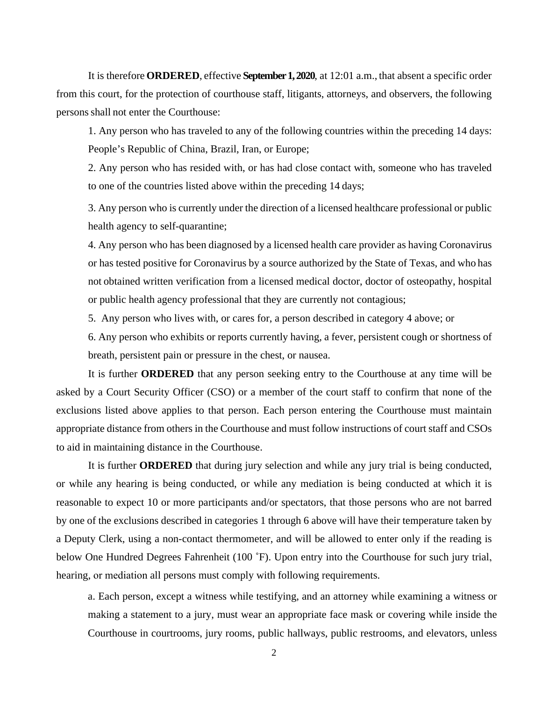It is therefore **ORDERED**, effective **September 1, 2020**, at 12:01 a.m., that absent a specific order from this court, for the protection of courthouse staff, litigants, attorneys, and observers, the following persons shall not enter the Courthouse:

1. Any person who has traveled to any of the following countries within the preceding 14 days: People's Republic of China, Brazil, Iran, or Europe;

2. Any person who has resided with, or has had close contact with, someone who has traveled to one of the countries listed above within the preceding 14 days;

3. Any person who is currently under the direction of a licensed healthcare professional or public health agency to self-quarantine;

4. Any person who has been diagnosed by a licensed health care provider as having Coronavirus or has tested positive for Coronavirus by a source authorized by the State of Texas, and who has not obtained written verification from a licensed medical doctor, doctor of osteopathy, hospital or public health agency professional that they are currently not contagious;

5. Any person who lives with, or cares for, a person described in category 4 above; or

6. Any person who exhibits or reports currently having, a fever, persistent cough or shortness of breath, persistent pain or pressure in the chest, or nausea.

It is further **ORDERED** that any person seeking entry to the Courthouse at any time will be asked by a Court Security Officer (CSO) or a member of the court staff to confirm that none of the exclusions listed above applies to that person. Each person entering the Courthouse must maintain appropriate distance from others in the Courthouse and must follow instructions of court staff and CSOs to aid in maintaining distance in the Courthouse.

It is further **ORDERED** that during jury selection and while any jury trial is being conducted, or while any hearing is being conducted, or while any mediation is being conducted at which it is reasonable to expect 10 or more participants and/or spectators, that those persons who are not barred by one of the exclusions described in categories 1 through 6 above will have their temperature taken by a Deputy Clerk, using a non-contact thermometer, and will be allowed to enter only if the reading is below One Hundred Degrees Fahrenheit (100 °F). Upon entry into the Courthouse for such jury trial, hearing, or mediation all persons must comply with following requirements.

a. Each person, except a witness while testifying, and an attorney while examining a witness or making a statement to a jury, must wear an appropriate face mask or covering while inside the Courthouse in courtrooms, jury rooms, public hallways, public restrooms, and elevators, unless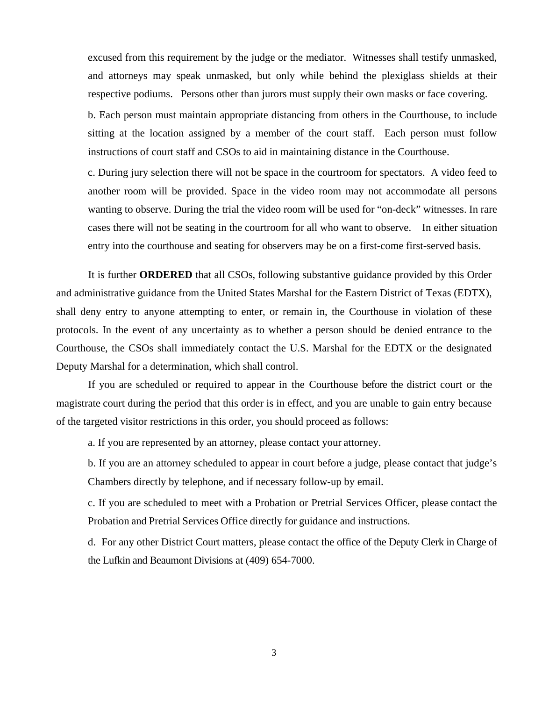excused from this requirement by the judge or the mediator. Witnesses shall testify unmasked, and attorneys may speak unmasked, but only while behind the plexiglass shields at their respective podiums. Persons other than jurors must supply their own masks or face covering.

b. Each person must maintain appropriate distancing from others in the Courthouse, to include sitting at the location assigned by a member of the court staff. Each person must follow instructions of court staff and CSOs to aid in maintaining distance in the Courthouse.

c. During jury selection there will not be space in the courtroom for spectators. A video feed to another room will be provided. Space in the video room may not accommodate all persons wanting to observe. During the trial the video room will be used for "on-deck" witnesses. In rare cases there will not be seating in the courtroom for all who want to observe. In either situation entry into the courthouse and seating for observers may be on a first-come first-served basis.

It is further **ORDERED** that all CSOs, following substantive guidance provided by this Order and administrative guidance from the United States Marshal for the Eastern District of Texas (EDTX), shall deny entry to anyone attempting to enter, or remain in, the Courthouse in violation of these protocols. In the event of any uncertainty as to whether a person should be denied entrance to the Courthouse, the CSOs shall immediately contact the U.S. Marshal for the EDTX or the designated Deputy Marshal for a determination, which shall control.

If you are scheduled or required to appear in the Courthouse before the district court or the magistrate court during the period that this order is in effect, and you are unable to gain entry because of the targeted visitor restrictions in this order, you should proceed as follows:

a. If you are represented by an attorney, please contact your attorney.

b. If you are an attorney scheduled to appear in court before a judge, please contact that judge's Chambers directly by telephone, and if necessary follow-up by email.

c. If you are scheduled to meet with a Probation or Pretrial Services Officer, please contact the Probation and Pretrial Services Office directly for guidance and instructions.

d. For any other District Court matters, please contact the office of the Deputy Clerk in Charge of the Lufkin and Beaumont Divisions at (409) 654-7000.